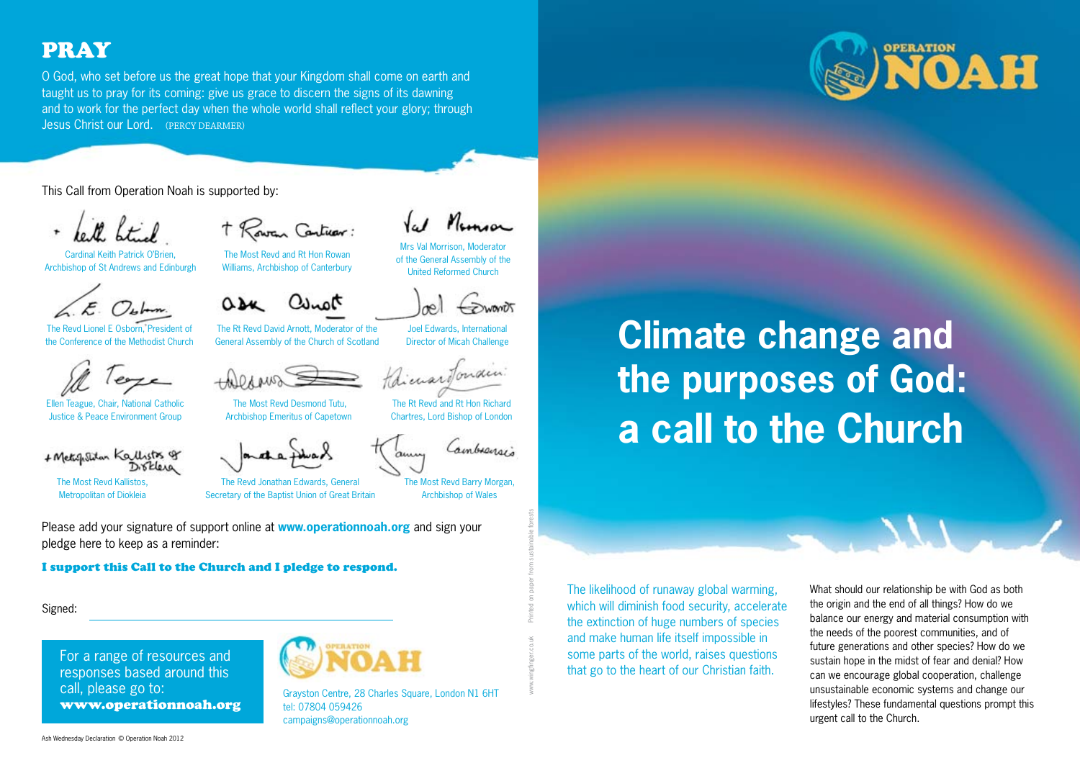## PRAY

O God, who set before us the great hope that your Kingdom shall come on earth and taught us to pray for its coming: give us grace to discern the signs of its dawning and to work for the perfect day when the whole world shall reflect your glory; through Jesus Christ our Lord. (PERCY DEARMER)

This Call from Operation Noah is supported by:

Cardinal Keith Patrick O'Brien Archbishop of St Andrews and Edinburgh

The Revd Lionel E Osborn, President of the Conference of the Methodist Church



Ellen Teague, Chair, National Catholic Justice & Peace Environment Group

+ Metallitan Kallists of Disklera

The Most Revd Kallistos, Metropolitan of Diokleia

T Rowen Cartuar.

The Most Revd and Rt Hon Rowan Williams, Archbishop of Canterbury

 $h_{\text{max}}$ 

The Rt Revd David Arnott, Moderator of the General Assembly of the Church of Scotland

Joel Edwards, International Director of Micah Challenge

The Rt Revd and Rt Hon Richard Chartres, Lord Bishop of London

Mrs Val Morrison, Moderator of the General Assembly of the United Reformed Church

 The Most Revd Desmond Tutu, Archbishop Emeritus of Capetown

The Revd Jonathan Edwards, General Secretary of the Baptist Union of Great Britain

The Most Revd Barry Morgan, Archbishop of Wales

Cambranov:

www.wingfi nger.co.uk Printed on paper from sustainable forests

Please add your signature of support online at **www.operationnoah.org** and sign your pledge here to keep as a reminder:

I support this Call to the Church and I pledge to respond.

Signed:

For a range of resources and responses based around this call, please go to: www.operationnoah.org



Grayston Centre, 28 Charles Square, London N1 6HT tel: 07804 059426campaigns@operationnoah.org

**OPERATION** OAH

# **Climate change and the purposes of God: a call to the Church**

The likelihood of runaway global warming, which will diminish food security, accelerate the extinction of huge numbers of species and make human life itself impossible in some parts of the world, raises questions that go to the heart of our Christian faith.

What should our relationship be with God as both the origin and the end of all things? How do we balance our energy and material consumption with the needs of the poorest communities, and of future generations and other species? How do we sustain hope in the midst of fear and denial? How can we encourage global cooperation, challenge unsustainable economic systems and change our lifestyles? These fundamental questions prompt this urgent call to the Church.